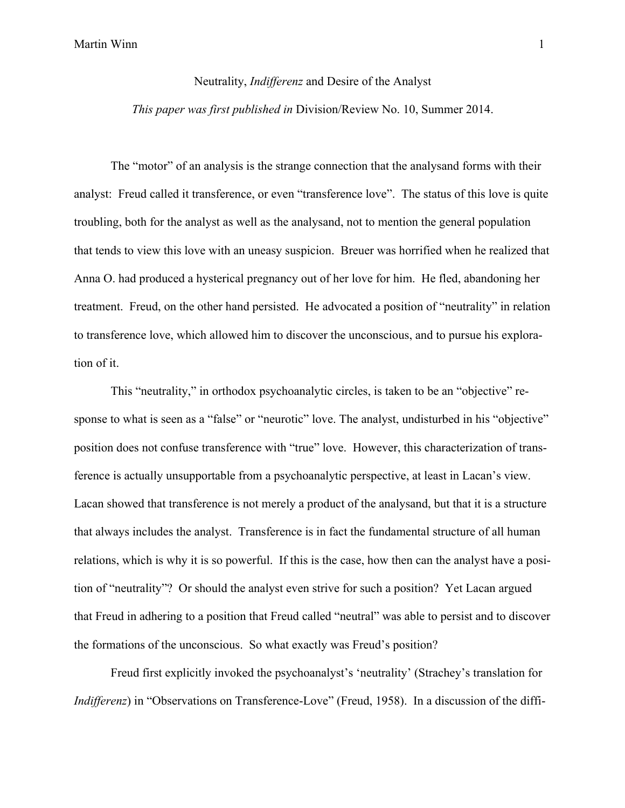## Martin Winn 1

## Neutrality, *Indifferenz* and Desire of the Analyst *This paper was first published in* Division/Review No. 10, Summer 2014.

The "motor" of an analysis is the strange connection that the analysand forms with their analyst: Freud called it transference, or even "transference love". The status of this love is quite troubling, both for the analyst as well as the analysand, not to mention the general population that tends to view this love with an uneasy suspicion. Breuer was horrified when he realized that Anna O. had produced a hysterical pregnancy out of her love for him. He fled, abandoning her treatment. Freud, on the other hand persisted. He advocated a position of "neutrality" in relation to transference love, which allowed him to discover the unconscious, and to pursue his exploration of it.

This "neutrality," in orthodox psychoanalytic circles, is taken to be an "objective" response to what is seen as a "false" or "neurotic" love. The analyst, undisturbed in his "objective" position does not confuse transference with "true" love. However, this characterization of transference is actually unsupportable from a psychoanalytic perspective, at least in Lacan's view. Lacan showed that transference is not merely a product of the analysand, but that it is a structure that always includes the analyst. Transference is in fact the fundamental structure of all human relations, which is why it is so powerful. If this is the case, how then can the analyst have a position of "neutrality"? Or should the analyst even strive for such a position? Yet Lacan argued that Freud in adhering to a position that Freud called "neutral" was able to persist and to discover the formations of the unconscious. So what exactly was Freud's position?

Freud first explicitly invoked the psychoanalyst's 'neutrality' (Strachey's translation for *Indifferenz*) in "Observations on Transference-Love" (Freud, 1958). In a discussion of the diffi-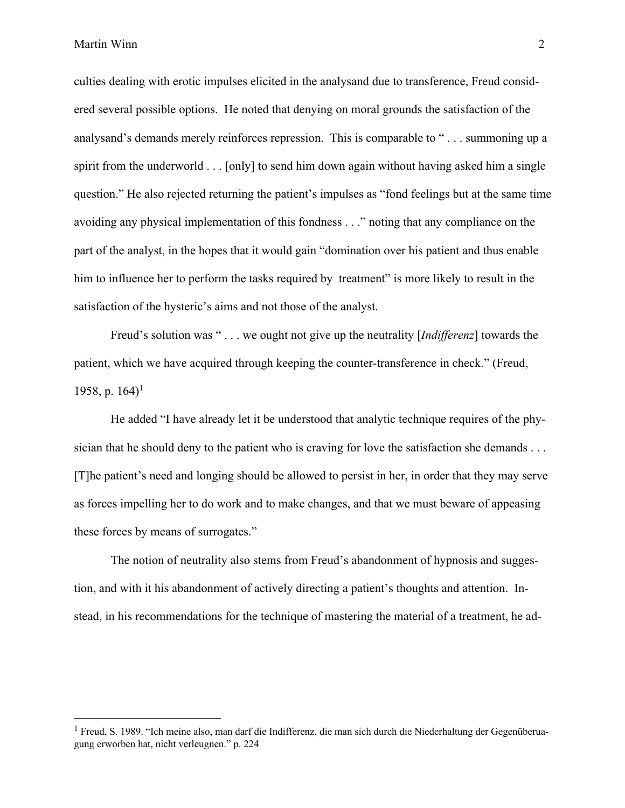Martin Winn 2

culties dealing with erotic impulses elicited in the analysand due to transference, Freud considered several possible options. He noted that denying on moral grounds the satisfaction of the analysand's demands merely reinforces repression. This is comparable to " . . . summoning up a spirit from the underworld . . . [only] to send him down again without having asked him a single question." He also rejected returning the patient's impulses as "fond feelings but at the same time avoiding any physical implementation of this fondness . . ." noting that any compliance on the part of the analyst, in the hopes that it would gain "domination over his patient and thus enable him to influence her to perform the tasks required by treatment" is more likely to result in the satisfaction of the hysteric's aims and not those of the analyst.

Freud's solution was " . . . we ought not give up the neutrality [*Indifferenz*] towards the patient, which we have acquired through keeping the counter-transference in check." (Freud, 1958, p.  $164$ <sup>1</sup>

He added "I have already let it be understood that analytic technique requires of the physician that he should deny to the patient who is craving for love the satisfaction she demands . . . [T]he patient's need and longing should be allowed to persist in her, in order that they may serve as forces impelling her to do work and to make changes, and that we must beware of appeasing these forces by means of surrogates."

The notion of neutrality also stems from Freud's abandonment of hypnosis and suggestion, and with it his abandonment of actively directing a patient's thoughts and attention. Instead, in his recommendations for the technique of mastering the material of a treatment, he ad-

<sup>1</sup> Freud, S. 1989. "Ich meine also, man darf die Indifferenz, die man sich durch die Niederhaltung der Gegenüberuagung erworben hat, nicht verleugnen." p. 224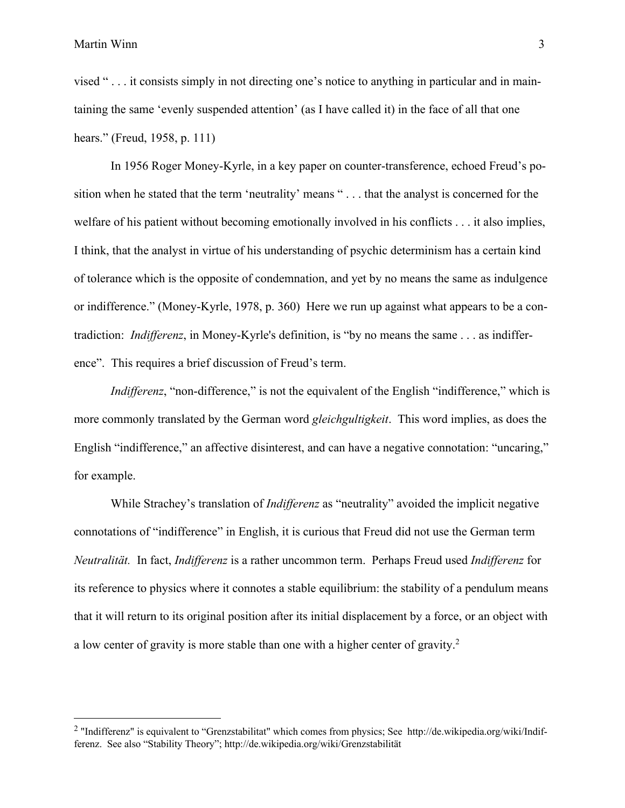vised " . . . it consists simply in not directing one's notice to anything in particular and in maintaining the same 'evenly suspended attention' (as I have called it) in the face of all that one hears." (Freud, 1958, p. 111)

In 1956 Roger Money-Kyrle, in a key paper on counter-transference, echoed Freud's position when he stated that the term 'neutrality' means " . . . that the analyst is concerned for the welfare of his patient without becoming emotionally involved in his conflicts . . . it also implies, I think, that the analyst in virtue of his understanding of psychic determinism has a certain kind of tolerance which is the opposite of condemnation, and yet by no means the same as indulgence or indifference." (Money-Kyrle, 1978, p. 360) Here we run up against what appears to be a contradiction: *Indifferenz*, in Money-Kyrle's definition, is "by no means the same . . . as indifference". This requires a brief discussion of Freud's term.

*Indifferenz*, "non-difference," is not the equivalent of the English "indifference," which is more commonly translated by the German word *gleichgultigkeit*.This word implies, as does the English "indifference," an affective disinterest, and can have a negative connotation: "uncaring," for example.

While Strachey's translation of *Indifferenz* as "neutrality" avoided the implicit negative connotations of "indifference" in English, it is curious that Freud did not use the German term *Neutralität.* In fact, *Indifferenz* is a rather uncommon term. Perhaps Freud used *Indifferenz* for its reference to physics where it connotes a stable equilibrium: the stability of a pendulum means that it will return to its original position after its initial displacement by a force, or an object with a low center of gravity is more stable than one with a higher center of gravity.<sup>2</sup>

<sup>&</sup>lt;sup>2</sup> "Indifferenz" is equivalent to "Grenzstabilitat" which comes from physics; See http://de.wikipedia.org/wiki/Indifferenz. See also "Stability Theory"; http://de.wikipedia.org/wiki/Grenzstabilität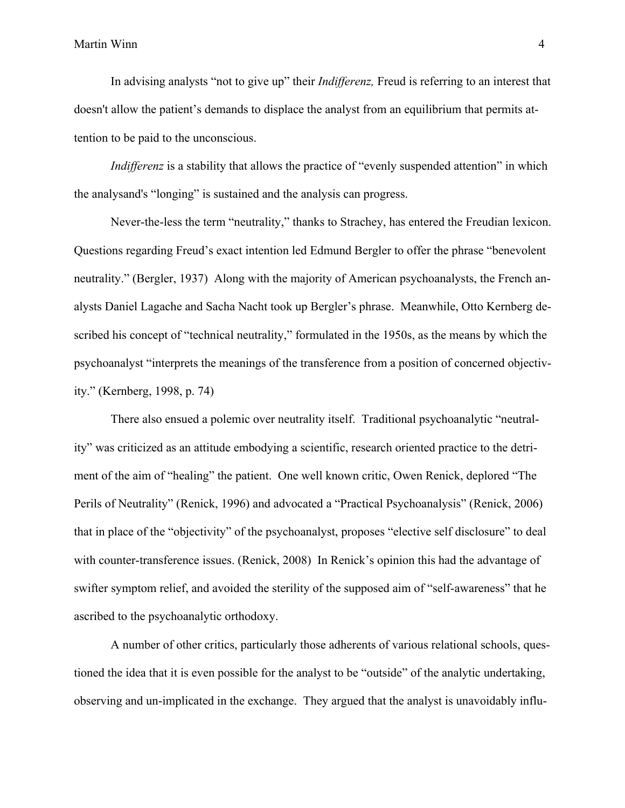In advising analysts "not to give up" their *Indifferenz,* Freud is referring to an interest that doesn't allow the patient's demands to displace the analyst from an equilibrium that permits attention to be paid to the unconscious.

*Indifferenz* is a stability that allows the practice of "evenly suspended attention" in which the analysand's "longing" is sustained and the analysis can progress.

Never-the-less the term "neutrality," thanks to Strachey, has entered the Freudian lexicon. Questions regarding Freud's exact intention led Edmund Bergler to offer the phrase "benevolent neutrality." (Bergler, 1937) Along with the majority of American psychoanalysts, the French analysts Daniel Lagache and Sacha Nacht took up Bergler's phrase. Meanwhile, Otto Kernberg described his concept of "technical neutrality," formulated in the 1950s, as the means by which the psychoanalyst "interprets the meanings of the transference from a position of concerned objectivity." (Kernberg, 1998, p. 74)

There also ensued a polemic over neutrality itself. Traditional psychoanalytic "neutrality" was criticized as an attitude embodying a scientific, research oriented practice to the detriment of the aim of "healing" the patient. One well known critic, Owen Renick, deplored "The Perils of Neutrality" (Renick, 1996) and advocated a "Practical Psychoanalysis" (Renick, 2006) that in place of the "objectivity" of the psychoanalyst, proposes "elective self disclosure" to deal with counter-transference issues. (Renick, 2008) In Renick's opinion this had the advantage of swifter symptom relief, and avoided the sterility of the supposed aim of "self-awareness" that he ascribed to the psychoanalytic orthodoxy.

A number of other critics, particularly those adherents of various relational schools, questioned the idea that it is even possible for the analyst to be "outside" of the analytic undertaking, observing and un-implicated in the exchange. They argued that the analyst is unavoidably influ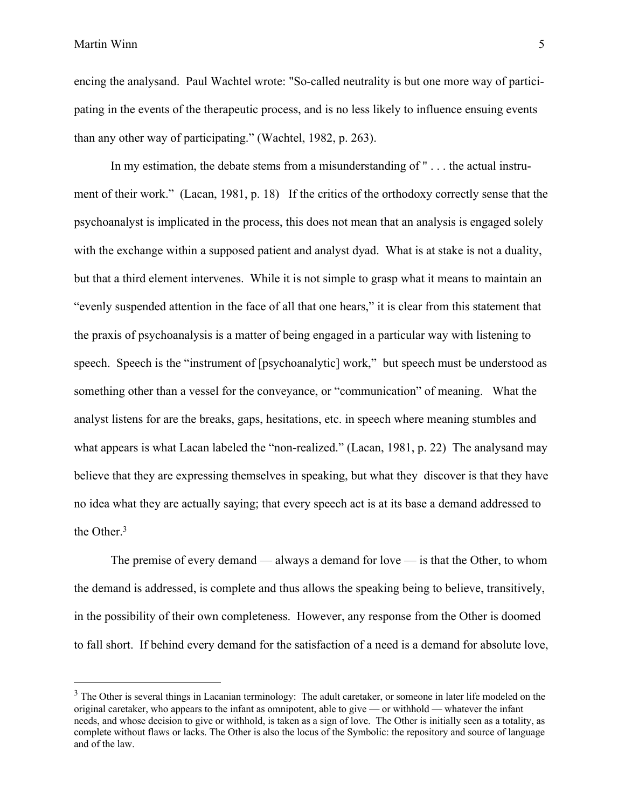encing the analysand. Paul Wachtel wrote: "So-called neutrality is but one more way of participating in the events of the therapeutic process, and is no less likely to influence ensuing events than any other way of participating." (Wachtel, 1982, p. 263).

In my estimation, the debate stems from a misunderstanding of " . . . the actual instrument of their work." (Lacan, 1981, p. 18) If the critics of the orthodoxy correctly sense that the psychoanalyst is implicated in the process, this does not mean that an analysis is engaged solely with the exchange within a supposed patient and analyst dyad. What is at stake is not a duality, but that a third element intervenes. While it is not simple to grasp what it means to maintain an "evenly suspended attention in the face of all that one hears," it is clear from this statement that the praxis of psychoanalysis is a matter of being engaged in a particular way with listening to speech. Speech is the "instrument of [psychoanalytic] work," but speech must be understood as something other than a vessel for the conveyance, or "communication" of meaning. What the analyst listens for are the breaks, gaps, hesitations, etc. in speech where meaning stumbles and what appears is what Lacan labeled the "non-realized." (Lacan, 1981, p. 22) The analysand may believe that they are expressing themselves in speaking, but what they discover is that they have no idea what they are actually saying; that every speech act is at its base a demand addressed to the Other.<sup>3</sup>

The premise of every demand — always a demand for love — is that the Other, to whom the demand is addressed, is complete and thus allows the speaking being to believe, transitively, in the possibility of their own completeness. However, any response from the Other is doomed to fall short. If behind every demand for the satisfaction of a need is a demand for absolute love,

<sup>&</sup>lt;sup>3</sup> The Other is several things in Lacanian terminology: The adult caretaker, or someone in later life modeled on the original caretaker, who appears to the infant as omnipotent, able to give — or withhold — whatever the infant needs, and whose decision to give or withhold, is taken as a sign of love. The Other is initially seen as a totality, as complete without flaws or lacks. The Other is also the locus of the Symbolic: the repository and source of language and of the law.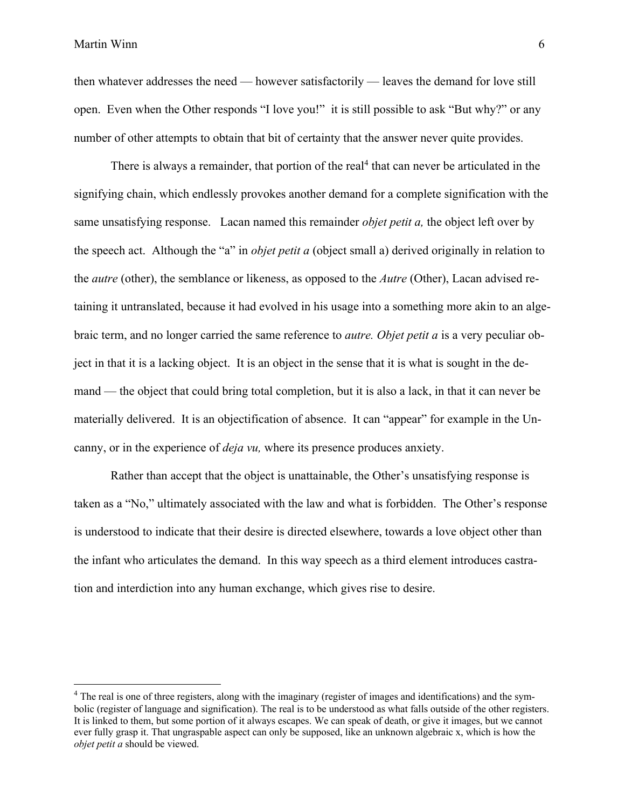then whatever addresses the need — however satisfactorily — leaves the demand for love still open. Even when the Other responds "I love you!" it is still possible to ask "But why?" or any number of other attempts to obtain that bit of certainty that the answer never quite provides.

There is always a remainder, that portion of the real<sup>4</sup> that can never be articulated in the signifying chain, which endlessly provokes another demand for a complete signification with the same unsatisfying response. Lacan named this remainder *objet petit a,* the object left over by the speech act. Although the "a" in *objet petit a* (object small a) derived originally in relation to the *autre* (other), the semblance or likeness, as opposed to the *Autre* (Other), Lacan advised retaining it untranslated, because it had evolved in his usage into a something more akin to an algebraic term, and no longer carried the same reference to *autre. Objet petit a* is a very peculiar object in that it is a lacking object. It is an object in the sense that it is what is sought in the demand — the object that could bring total completion, but it is also a lack, in that it can never be materially delivered. It is an objectification of absence. It can "appear" for example in the Uncanny, or in the experience of *deja vu,* where its presence produces anxiety.

Rather than accept that the object is unattainable, the Other's unsatisfying response is taken as a "No," ultimately associated with the law and what is forbidden. The Other's response is understood to indicate that their desire is directed elsewhere, towards a love object other than the infant who articulates the demand. In this way speech as a third element introduces castration and interdiction into any human exchange, which gives rise to desire.

<sup>&</sup>lt;sup>4</sup> The real is one of three registers, along with the imaginary (register of images and identifications) and the symbolic (register of language and signification). The real is to be understood as what falls outside of the other registers. It is linked to them, but some portion of it always escapes. We can speak of death, or give it images, but we cannot ever fully grasp it. That ungraspable aspect can only be supposed, like an unknown algebraic x, which is how the *objet petit a* should be viewed.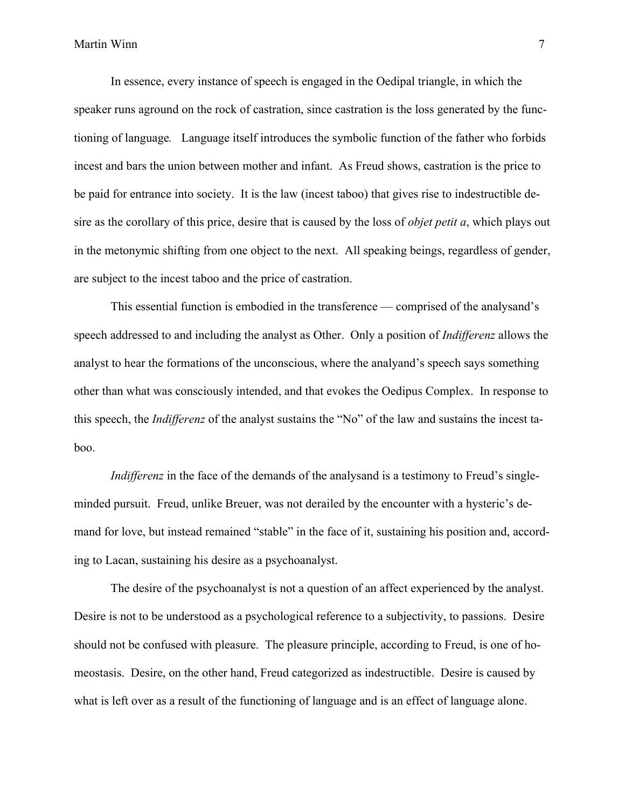In essence, every instance of speech is engaged in the Oedipal triangle, in which the speaker runs aground on the rock of castration, since castration is the loss generated by the functioning of language*.* Language itself introduces the symbolic function of the father who forbids incest and bars the union between mother and infant. As Freud shows, castration is the price to be paid for entrance into society. It is the law (incest taboo) that gives rise to indestructible desire as the corollary of this price, desire that is caused by the loss of *objet petit a*, which plays out in the metonymic shifting from one object to the next. All speaking beings, regardless of gender, are subject to the incest taboo and the price of castration.

This essential function is embodied in the transference — comprised of the analysand's speech addressed to and including the analyst as Other. Only a position of *Indifferenz* allows the analyst to hear the formations of the unconscious, where the analyand's speech says something other than what was consciously intended, and that evokes the Oedipus Complex. In response to this speech, the *Indifferenz* of the analyst sustains the "No" of the law and sustains the incest taboo.

*Indifferenz* in the face of the demands of the analysand is a testimony to Freud's singleminded pursuit. Freud, unlike Breuer, was not derailed by the encounter with a hysteric's demand for love, but instead remained "stable" in the face of it, sustaining his position and, according to Lacan, sustaining his desire as a psychoanalyst.

The desire of the psychoanalyst is not a question of an affect experienced by the analyst. Desire is not to be understood as a psychological reference to a subjectivity, to passions. Desire should not be confused with pleasure. The pleasure principle, according to Freud, is one of homeostasis. Desire, on the other hand, Freud categorized as indestructible. Desire is caused by what is left over as a result of the functioning of language and is an effect of language alone.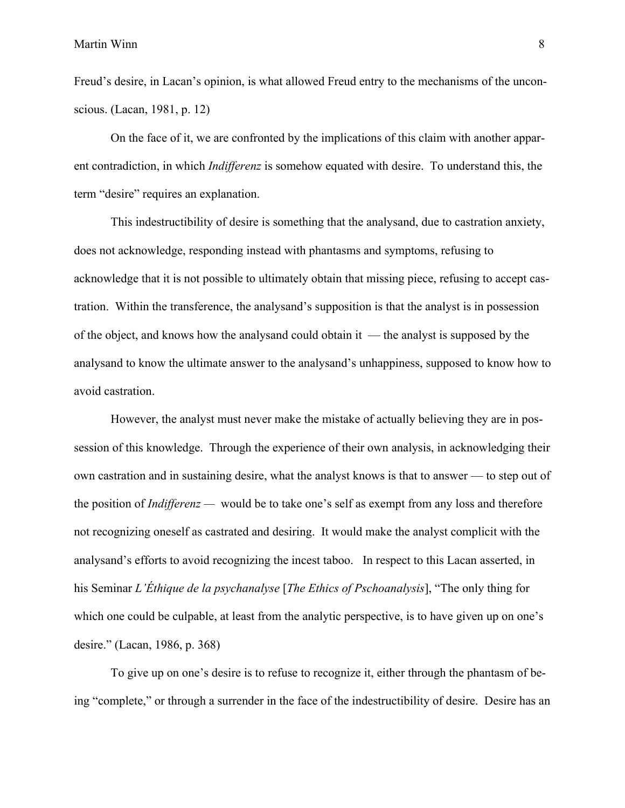Freud's desire, in Lacan's opinion, is what allowed Freud entry to the mechanisms of the unconscious. (Lacan, 1981, p. 12)

On the face of it, we are confronted by the implications of this claim with another apparent contradiction, in which *Indifferenz* is somehow equated with desire. To understand this, the term "desire" requires an explanation.

This indestructibility of desire is something that the analysand, due to castration anxiety, does not acknowledge, responding instead with phantasms and symptoms, refusing to acknowledge that it is not possible to ultimately obtain that missing piece, refusing to accept castration. Within the transference, the analysand's supposition is that the analyst is in possession of the object, and knows how the analysand could obtain it — the analyst is supposed by the analysand to know the ultimate answer to the analysand's unhappiness, supposed to know how to avoid castration.

However, the analyst must never make the mistake of actually believing they are in possession of this knowledge. Through the experience of their own analysis, in acknowledging their own castration and in sustaining desire, what the analyst knows is that to answer — to step out of the position of *Indifferenz —* would be to take one's self as exempt from any loss and therefore not recognizing oneself as castrated and desiring. It would make the analyst complicit with the analysand's efforts to avoid recognizing the incest taboo. In respect to this Lacan asserted, in his Seminar *L'Éthique de la psychanalyse* [*The Ethics of Pschoanalysis*], "The only thing for which one could be culpable, at least from the analytic perspective, is to have given up on one's desire." (Lacan, 1986, p. 368)

To give up on one's desire is to refuse to recognize it, either through the phantasm of being "complete," or through a surrender in the face of the indestructibility of desire. Desire has an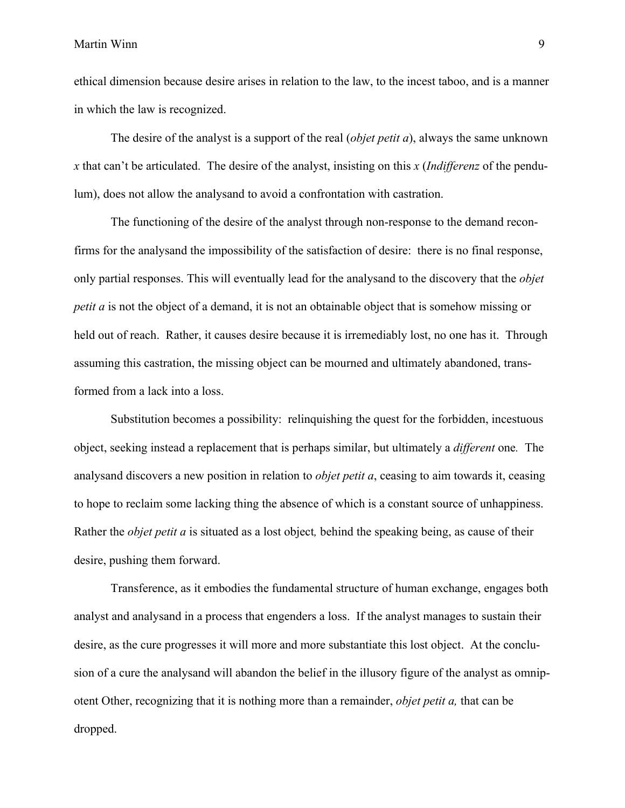ethical dimension because desire arises in relation to the law, to the incest taboo, and is a manner in which the law is recognized.

The desire of the analyst is a support of the real (*objet petit a*), always the same unknown *x* that can't be articulated. The desire of the analyst, insisting on this *x* (*Indifferenz* of the pendulum), does not allow the analysand to avoid a confrontation with castration.

The functioning of the desire of the analyst through non-response to the demand reconfirms for the analysand the impossibility of the satisfaction of desire: there is no final response, only partial responses. This will eventually lead for the analysand to the discovery that the *objet petit a* is not the object of a demand, it is not an obtainable object that is somehow missing or held out of reach. Rather, it causes desire because it is irremediably lost, no one has it. Through assuming this castration, the missing object can be mourned and ultimately abandoned, transformed from a lack into a loss.

Substitution becomes a possibility: relinquishing the quest for the forbidden, incestuous object, seeking instead a replacement that is perhaps similar, but ultimately a *different* one*.* The analysand discovers a new position in relation to *objet petit a*, ceasing to aim towards it, ceasing to hope to reclaim some lacking thing the absence of which is a constant source of unhappiness. Rather the *objet petit a* is situated as a lost object*,* behind the speaking being, as cause of their desire, pushing them forward.

Transference, as it embodies the fundamental structure of human exchange, engages both analyst and analysand in a process that engenders a loss. If the analyst manages to sustain their desire, as the cure progresses it will more and more substantiate this lost object. At the conclusion of a cure the analysand will abandon the belief in the illusory figure of the analyst as omnipotent Other, recognizing that it is nothing more than a remainder, *objet petit a,* that can be dropped.